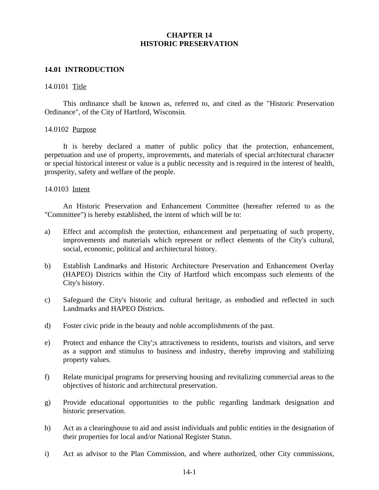# **CHAPTER 14 HISTORIC PRESERVATION**

## **14.01 INTRODUCTION**

#### 14.0101 Title

This ordinance shall be known as, referred to, and cited as the "Historic Preservation Ordinance", of the City of Hartford, Wisconsin.

#### 14.0102 Purpose

It is hereby declared a matter of public policy that the protection, enhancement, perpetuation and use of property, improvements, and materials of special architectural character or special historical interest or value is a public necessity and is required in the interest of health, prosperity, safety and welfare of the people.

#### 14.0103 Intent

An Historic Preservation and Enhancement Committee (hereafter referred to as the "Committee") is hereby established, the intent of which will be to:

- a) Effect and accomplish the protection, enhancement and perpetuating of such property, improvements and materials which represent or reflect elements of the City's cultural, social, economic, political and architectural history.
- b) Establish Landmarks and Historic Architecture Preservation and Enhancement Overlay (HAPEO) Districts within the City of Hartford which encompass such elements of the City's history.
- c) Safeguard the City's historic and cultural heritage, as embodied and reflected in such Landmarks and HAPEO Districts.
- d) Foster civic pride in the beauty and noble accomplishments of the past.
- e) Protect and enhance the City';s attractiveness to residents, tourists and visitors, and serve as a support and stimulus to business and industry, thereby improving and stabilizing property values.
- f) Relate municipal programs for preserving housing and revitalizing commercial areas to the objectives of historic and architectural preservation.
- g) Provide educational opportunities to the public regarding landmark designation and historic preservation.
- h) Act as a clearinghouse to aid and assist individuals and public entities in the designation of their properties for local and/or National Register Status.
- i) Act as advisor to the Plan Commission, and where authorized, other City commissions,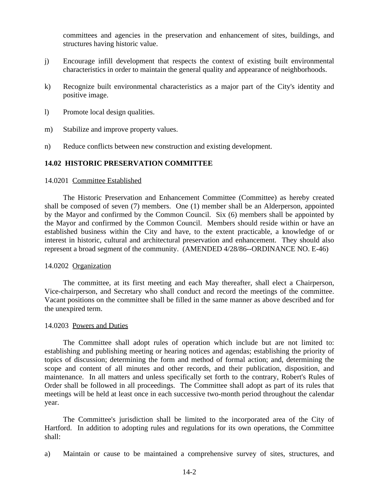committees and agencies in the preservation and enhancement of sites, buildings, and structures having historic value.

- j) Encourage infill development that respects the context of existing built environmental characteristics in order to maintain the general quality and appearance of neighborhoods.
- k) Recognize built environmental characteristics as a major part of the City's identity and positive image.
- l) Promote local design qualities.
- m) Stabilize and improve property values.
- n) Reduce conflicts between new construction and existing development.

## **14.02 HISTORIC PRESERVATION COMMITTEE**

### 14.0201 Committee Established

The Historic Preservation and Enhancement Committee (Committee) as hereby created shall be composed of seven (7) members. One (1) member shall be an Alderperson, appointed by the Mayor and confirmed by the Common Council. Six (6) members shall be appointed by the Mayor and confirmed by the Common Council. Members should reside within or have an established business within the City and have, to the extent practicable, a knowledge of or interest in historic, cultural and architectural preservation and enhancement. They should also represent a broad segment of the community. (AMENDED 4/28/86--ORDINANCE NO. E-46)

### 14.0202 Organization

The committee, at its first meeting and each May thereafter, shall elect a Chairperson, Vice-chairperson, and Secretary who shall conduct and record the meetings of the committee. Vacant positions on the committee shall be filled in the same manner as above described and for the unexpired term.

### 14.0203 Powers and Duties

The Committee shall adopt rules of operation which include but are not limited to: establishing and publishing meeting or hearing notices and agendas; establishing the priority of topics of discussion; determining the form and method of formal action; and, determining the scope and content of all minutes and other records, and their publication, disposition, and maintenance. In all matters and unless specifically set forth to the contrary, Robert's Rules of Order shall be followed in all proceedings. The Committee shall adopt as part of its rules that meetings will be held at least once in each successive two-month period throughout the calendar year.

The Committee's jurisdiction shall be limited to the incorporated area of the City of Hartford. In addition to adopting rules and regulations for its own operations, the Committee shall:

a) Maintain or cause to be maintained a comprehensive survey of sites, structures, and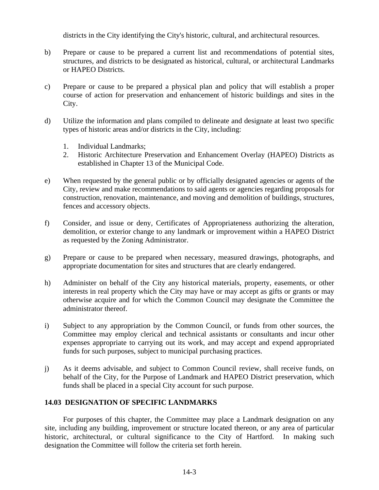districts in the City identifying the City's historic, cultural, and architectural resources.

- b) Prepare or cause to be prepared a current list and recommendations of potential sites, structures, and districts to be designated as historical, cultural, or architectural Landmarks or HAPEO Districts.
- c) Prepare or cause to be prepared a physical plan and policy that will establish a proper course of action for preservation and enhancement of historic buildings and sites in the City.
- d) Utilize the information and plans compiled to delineate and designate at least two specific types of historic areas and/or districts in the City, including:
	- 1. Individual Landmarks;
	- 2. Historic Architecture Preservation and Enhancement Overlay (HAPEO) Districts as established in Chapter 13 of the Municipal Code.
- e) When requested by the general public or by officially designated agencies or agents of the City, review and make recommendations to said agents or agencies regarding proposals for construction, renovation, maintenance, and moving and demolition of buildings, structures, fences and accessory objects.
- f) Consider, and issue or deny, Certificates of Appropriateness authorizing the alteration, demolition, or exterior change to any landmark or improvement within a HAPEO District as requested by the Zoning Administrator.
- g) Prepare or cause to be prepared when necessary, measured drawings, photographs, and appropriate documentation for sites and structures that are clearly endangered.
- h) Administer on behalf of the City any historical materials, property, easements, or other interests in real property which the City may have or may accept as gifts or grants or may otherwise acquire and for which the Common Council may designate the Committee the administrator thereof.
- i) Subject to any appropriation by the Common Council, or funds from other sources, the Committee may employ clerical and technical assistants or consultants and incur other expenses appropriate to carrying out its work, and may accept and expend appropriated funds for such purposes, subject to municipal purchasing practices.
- j) As it deems advisable, and subject to Common Council review, shall receive funds, on behalf of the City, for the Purpose of Landmark and HAPEO District preservation, which funds shall be placed in a special City account for such purpose.

## **14.03 DESIGNATION OF SPECIFIC LANDMARKS**

For purposes of this chapter, the Committee may place a Landmark designation on any site, including any building, improvement or structure located thereon, or any area of particular historic, architectural, or cultural significance to the City of Hartford. In making such designation the Committee will follow the criteria set forth herein.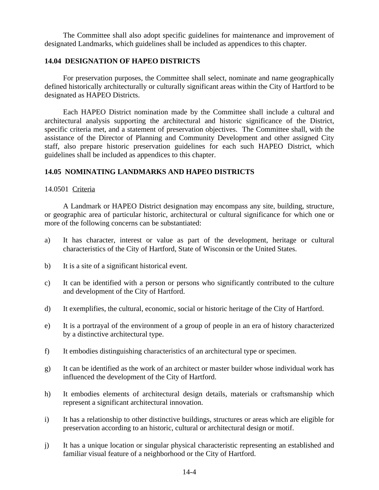The Committee shall also adopt specific guidelines for maintenance and improvement of designated Landmarks, which guidelines shall be included as appendices to this chapter.

# **14.04 DESIGNATION OF HAPEO DISTRICTS**

For preservation purposes, the Committee shall select, nominate and name geographically defined historically architecturally or culturally significant areas within the City of Hartford to be designated as HAPEO Districts.

Each HAPEO District nomination made by the Committee shall include a cultural and architectural analysis supporting the architectural and historic significance of the District, specific criteria met, and a statement of preservation objectives. The Committee shall, with the assistance of the Director of Planning and Community Development and other assigned City staff, also prepare historic preservation guidelines for each such HAPEO District, which guidelines shall be included as appendices to this chapter.

# **14.05 NOMINATING LANDMARKS AND HAPEO DISTRICTS**

## 14.0501 Criteria

A Landmark or HAPEO District designation may encompass any site, building, structure, or geographic area of particular historic, architectural or cultural significance for which one or more of the following concerns can be substantiated:

- a) It has character, interest or value as part of the development, heritage or cultural characteristics of the City of Hartford, State of Wisconsin or the United States.
- b) It is a site of a significant historical event.
- c) It can be identified with a person or persons who significantly contributed to the culture and development of the City of Hartford.
- d) It exemplifies, the cultural, economic, social or historic heritage of the City of Hartford.
- e) It is a portrayal of the environment of a group of people in an era of history characterized by a distinctive architectural type.
- f) It embodies distinguishing characteristics of an architectural type or specimen.
- g) It can be identified as the work of an architect or master builder whose individual work has influenced the development of the City of Hartford.
- h) It embodies elements of architectural design details, materials or craftsmanship which represent a significant architectural innovation.
- i) It has a relationship to other distinctive buildings, structures or areas which are eligible for preservation according to an historic, cultural or architectural design or motif.
- j) It has a unique location or singular physical characteristic representing an established and familiar visual feature of a neighborhood or the City of Hartford.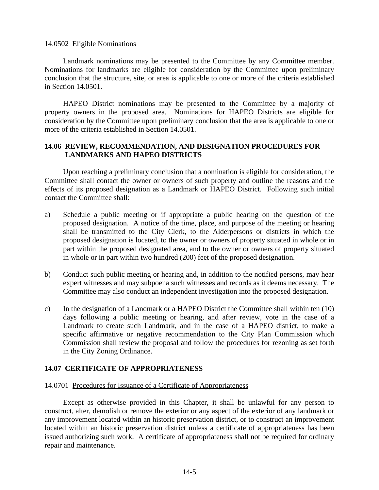### 14.0502 Eligible Nominations

Landmark nominations may be presented to the Committee by any Committee member. Nominations for landmarks are eligible for consideration by the Committee upon preliminary conclusion that the structure, site, or area is applicable to one or more of the criteria established in Section 14.0501.

HAPEO District nominations may be presented to the Committee by a majority of property owners in the proposed area. Nominations for HAPEO Districts are eligible for consideration by the Committee upon preliminary conclusion that the area is applicable to one or more of the criteria established in Section 14.0501.

## **14.06 REVIEW, RECOMMENDATION, AND DESIGNATION PROCEDURES FOR LANDMARKS AND HAPEO DISTRICTS**

Upon reaching a preliminary conclusion that a nomination is eligible for consideration, the Committee shall contact the owner or owners of such property and outline the reasons and the effects of its proposed designation as a Landmark or HAPEO District. Following such initial contact the Committee shall:

- a) Schedule a public meeting or if appropriate a public hearing on the question of the proposed designation. A notice of the time, place, and purpose of the meeting or hearing shall be transmitted to the City Clerk, to the Alderpersons or districts in which the proposed designation is located, to the owner or owners of property situated in whole or in part within the proposed designated area, and to the owner or owners of property situated in whole or in part within two hundred (200) feet of the proposed designation.
- b) Conduct such public meeting or hearing and, in addition to the notified persons, may hear expert witnesses and may subpoena such witnesses and records as it deems necessary. The Committee may also conduct an independent investigation into the proposed designation.
- c) In the designation of a Landmark or a HAPEO District the Committee shall within ten (10) days following a public meeting or hearing, and after review, vote in the case of a Landmark to create such Landmark, and in the case of a HAPEO district, to make a specific affirmative or negative recommendation to the City Plan Commission which Commission shall review the proposal and follow the procedures for rezoning as set forth in the City Zoning Ordinance.

## **14.07 CERTIFICATE OF APPROPRIATENESS**

### 14.0701 Procedures for Issuance of a Certificate of Appropriateness

Except as otherwise provided in this Chapter, it shall be unlawful for any person to construct, alter, demolish or remove the exterior or any aspect of the exterior of any landmark or any improvement located within an historic preservation district, or to construct an improvement located within an historic preservation district unless a certificate of appropriateness has been issued authorizing such work. A certificate of appropriateness shall not be required for ordinary repair and maintenance.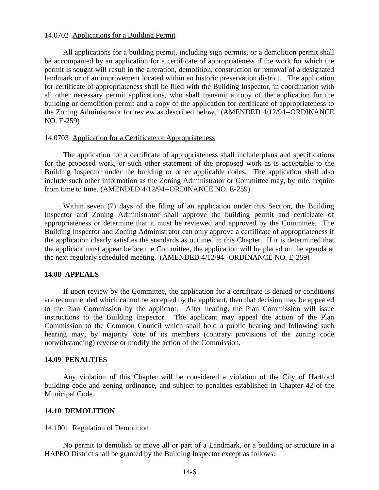#### 14.0702 Applications for a Building Permit

All applications for a building permit, including sign permits, or a demolition permit shall be accompanied by an application for a certificate of appropriateness if the work for which the permit is sought will result in the alteration, demolition, construction or removal of a designated landmark or of an improvement located within an historic preservation district. The application for certificate of appropriateness shall be filed with the Building Inspector, in coordination with all other necessary permit applications, who shall transmit a copy of the application for the building or demolition permit and a copy of the application for certificate of appropriateness to the Zoning Administrator for review as described below. (AMENDED 4/12/94--ORDINANCE NO. E-259)

#### 14.0703 Application for a Certificate of Appropriateness

The application for a certificate of appropriateness shall include plans and specifications for the proposed work, or such other statement of the proposed work as is acceptable to the Building Inspector under the building or other applicable codes. The application shall also include such other information as the Zoning Administrator or Committee may, by rule, require from time to time. (AMENDED 4/12/94--ORDINANCE NO. E-259)

Within seven (7) days of the filing of an application under this Section, the Building Inspector and Zoning Administrator shall approve the building permit and certificate of appropriateness or determine that it must be reviewed and approved by the Committee. The Building Inspector and Zoning Administrator can only approve a certificate of appropriateness if the application clearly satisfies the standards as outlined in this Chapter. If it is determined that the applicant must appear before the Committee, the application will be placed on the agenda at the next regularly scheduled meeting. (AMENDED 4/12/94--ORDINANCE NO. E-259)

#### **14.08 APPEALS**

If upon review by the Committee, the application for a certificate is denied or conditions are recommended which cannot be accepted by the applicant, then that decision may be appealed to the Plan Commission by the applicant. After hearing, the Plan Commission will issue instructions to the Building Inspector. The applicant may appeal the action of the Plan Commission to the Common Council which shall hold a public hearing and following such hearing may, by majority vote of its members (contrary provisions of the zoning code notwithstanding) reverse or modify the action of the Commission.

#### **14.09 PENALTIES**

Any violation of this Chapter will be considered a violation of the City of Hartford building code and zoning ordinance, and subject to penalties established in Chapter 42 of the Municipal Code.

#### **14.10 DEMOLITION**

#### 14.1001 Regulation of Demolition

No permit to demolish or move all or part of a Landmark, or a building or structure in a HAPEO District shall be granted by the Building Inspector except as follows: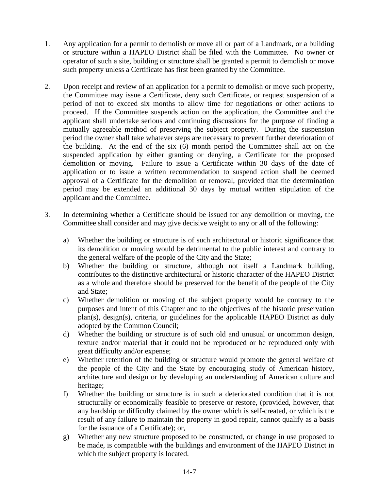- 1. Any application for a permit to demolish or move all or part of a Landmark, or a building or structure within a HAPEO District shall be filed with the Committee. No owner or operator of such a site, building or structure shall be granted a permit to demolish or move such property unless a Certificate has first been granted by the Committee.
- 2. Upon receipt and review of an application for a permit to demolish or move such property, the Committee may issue a Certificate, deny such Certificate, or request suspension of a period of not to exceed six months to allow time for negotiations or other actions to proceed. If the Committee suspends action on the application, the Committee and the applicant shall undertake serious and continuing discussions for the purpose of finding a mutually agreeable method of preserving the subject property. During the suspension period the owner shall take whatever steps are necessary to prevent further deterioration of the building. At the end of the six (6) month period the Committee shall act on the suspended application by either granting or denying, a Certificate for the proposed demolition or moving. Failure to issue a Certificate within 30 days of the date of application or to issue a written recommendation to suspend action shall be deemed approval of a Certificate for the demolition or removal, provided that the determination period may be extended an additional 30 days by mutual written stipulation of the applicant and the Committee.
- 3. In determining whether a Certificate should be issued for any demolition or moving, the Committee shall consider and may give decisive weight to any or all of the following:
	- a) Whether the building or structure is of such architectural or historic significance that its demolition or moving would be detrimental to the public interest and contrary to the general welfare of the people of the City and the State;
	- b) Whether the building or structure, although not itself a Landmark building, contributes to the distinctive architectural or historic character of the HAPEO District as a whole and therefore should be preserved for the benefit of the people of the City and State;
	- c) Whether demolition or moving of the subject property would be contrary to the purposes and intent of this Chapter and to the objectives of the historic preservation plan(s), design(s), criteria, or guidelines for the applicable HAPEO District as duly adopted by the Common Council;
	- d) Whether the building or structure is of such old and unusual or uncommon design, texture and/or material that it could not be reproduced or be reproduced only with great difficulty and/or expense;
	- e) Whether retention of the building or structure would promote the general welfare of the people of the City and the State by encouraging study of American history, architecture and design or by developing an understanding of American culture and heritage;
	- f) Whether the building or structure is in such a deteriorated condition that it is not structurally or economically feasible to preserve or restore, (provided, however, that any hardship or difficulty claimed by the owner which is self-created, or which is the result of any failure to maintain the property in good repair, cannot qualify as a basis for the issuance of a Certificate); or,
	- g) Whether any new structure proposed to be constructed, or change in use proposed to be made, is compatible with the buildings and environment of the HAPEO District in which the subject property is located.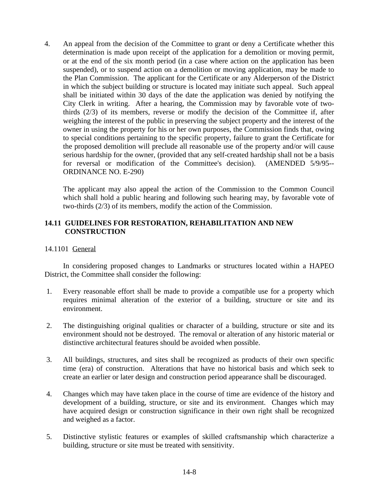4. An appeal from the decision of the Committee to grant or deny a Certificate whether this determination is made upon receipt of the application for a demolition or moving permit, or at the end of the six month period (in a case where action on the application has been suspended), or to suspend action on a demolition or moving application, may be made to the Plan Commission. The applicant for the Certificate or any Alderperson of the District in which the subject building or structure is located may initiate such appeal. Such appeal shall be initiated within 30 days of the date the application was denied by notifying the City Clerk in writing. After a hearing, the Commission may by favorable vote of twothirds (2/3) of its members, reverse or modify the decision of the Committee if, after weighing the interest of the public in preserving the subject property and the interest of the owner in using the property for his or her own purposes, the Commission finds that, owing to special conditions pertaining to the specific property, failure to grant the Certificate for the proposed demolition will preclude all reasonable use of the property and/or will cause serious hardship for the owner, (provided that any self-created hardship shall not be a basis for reversal or modification of the Committee's decision). (AMENDED 5/9/95-- ORDINANCE NO. E-290)

The applicant may also appeal the action of the Commission to the Common Council which shall hold a public hearing and following such hearing may, by favorable vote of two-thirds (2/3) of its members, modify the action of the Commission.

# **14.11 GUIDELINES FOR RESTORATION, REHABILITATION AND NEW CONSTRUCTION**

## 14.1101 General

In considering proposed changes to Landmarks or structures located within a HAPEO District, the Committee shall consider the following:

- 1. Every reasonable effort shall be made to provide a compatible use for a property which requires minimal alteration of the exterior of a building, structure or site and its environment.
- 2. The distinguishing original qualities or character of a building, structure or site and its environment should not be destroyed. The removal or alteration of any historic material or distinctive architectural features should be avoided when possible.
- 3. All buildings, structures, and sites shall be recognized as products of their own specific time (era) of construction. Alterations that have no historical basis and which seek to create an earlier or later design and construction period appearance shall be discouraged.
- 4. Changes which may have taken place in the course of time are evidence of the history and development of a building, structure, or site and its environment. Changes which may have acquired design or construction significance in their own right shall be recognized and weighed as a factor.
- 5. Distinctive stylistic features or examples of skilled craftsmanship which characterize a building, structure or site must be treated with sensitivity.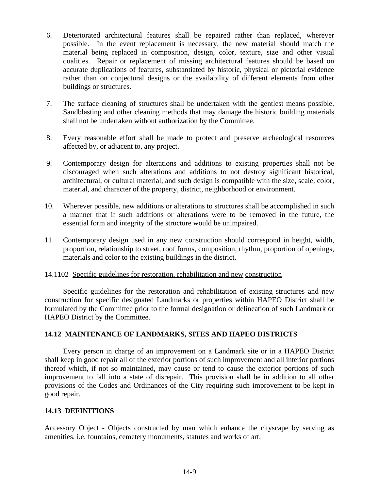- 6. Deteriorated architectural features shall be repaired rather than replaced, wherever possible. In the event replacement is necessary, the new material should match the material being replaced in composition, design, color, texture, size and other visual qualities. Repair or replacement of missing architectural features should be based on accurate duplications of features, substantiated by historic, physical or pictorial evidence rather than on conjectural designs or the availability of different elements from other buildings or structures.
- 7. The surface cleaning of structures shall be undertaken with the gentlest means possible. Sandblasting and other cleaning methods that may damage the historic building materials shall not be undertaken without authorization by the Committee.
- 8. Every reasonable effort shall be made to protect and preserve archeological resources affected by, or adjacent to, any project.
- 9. Contemporary design for alterations and additions to existing properties shall not be discouraged when such alterations and additions to not destroy significant historical, architectural, or cultural material, and such design is compatible with the size, scale, color, material, and character of the property, district, neighborhood or environment.
- 10. Wherever possible, new additions or alterations to structures shall be accomplished in such a manner that if such additions or alterations were to be removed in the future, the essential form and integrity of the structure would be unimpaired.
- 11. Contemporary design used in any new construction should correspond in height, width, proportion, relationship to street, roof forms, composition, rhythm, proportion of openings, materials and color to the existing buildings in the district.

## 14.1102 Specific guidelines for restoration, rehabilitation and new construction

Specific guidelines for the restoration and rehabilitation of existing structures and new construction for specific designated Landmarks or properties within HAPEO District shall be formulated by the Committee prior to the formal designation or delineation of such Landmark or HAPEO District by the Committee.

# **14.12 MAINTENANCE OF LANDMARKS, SITES AND HAPEO DISTRICTS**

Every person in charge of an improvement on a Landmark site or in a HAPEO District shall keep in good repair all of the exterior portions of such improvement and all interior portions thereof which, if not so maintained, may cause or tend to cause the exterior portions of such improvement to fall into a state of disrepair. This provision shall be in addition to all other provisions of the Codes and Ordinances of the City requiring such improvement to be kept in good repair.

## **14.13 DEFINITIONS**

Accessory Object - Objects constructed by man which enhance the cityscape by serving as amenities, i.e. fountains, cemetery monuments, statutes and works of art.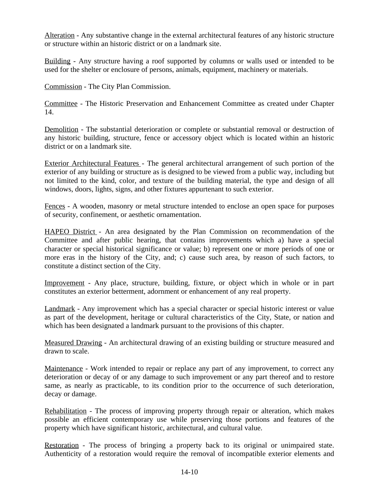Alteration - Any substantive change in the external architectural features of any historic structure or structure within an historic district or on a landmark site.

Building - Any structure having a roof supported by columns or walls used or intended to be used for the shelter or enclosure of persons, animals, equipment, machinery or materials.

Commission - The City Plan Commission.

Committee - The Historic Preservation and Enhancement Committee as created under Chapter 14.

Demolition - The substantial deterioration or complete or substantial removal or destruction of any historic building, structure, fence or accessory object which is located within an historic district or on a landmark site.

Exterior Architectural Features - The general architectural arrangement of such portion of the exterior of any building or structure as is designed to be viewed from a public way, including but not limited to the kind, color, and texture of the building material, the type and design of all windows, doors, lights, signs, and other fixtures appurtenant to such exterior.

Fences - A wooden, masonry or metal structure intended to enclose an open space for purposes of security, confinement, or aesthetic ornamentation.

HAPEO District - An area designated by the Plan Commission on recommendation of the Committee and after public hearing, that contains improvements which a) have a special character or special historical significance or value; b) represent one or more periods of one or more eras in the history of the City, and; c) cause such area, by reason of such factors, to constitute a distinct section of the City.

Improvement - Any place, structure, building, fixture, or object which in whole or in part constitutes an exterior betterment, adornment or enhancement of any real property.

Landmark - Any improvement which has a special character or special historic interest or value as part of the development, heritage or cultural characteristics of the City, State, or nation and which has been designated a landmark pursuant to the provisions of this chapter.

Measured Drawing - An architectural drawing of an existing building or structure measured and drawn to scale.

Maintenance - Work intended to repair or replace any part of any improvement, to correct any deterioration or decay of or any damage to such improvement or any part thereof and to restore same, as nearly as practicable, to its condition prior to the occurrence of such deterioration, decay or damage.

Rehabilitation - The process of improving property through repair or alteration, which makes possible an efficient contemporary use while preserving those portions and features of the property which have significant historic, architectural, and cultural value.

Restoration - The process of bringing a property back to its original or unimpaired state. Authenticity of a restoration would require the removal of incompatible exterior elements and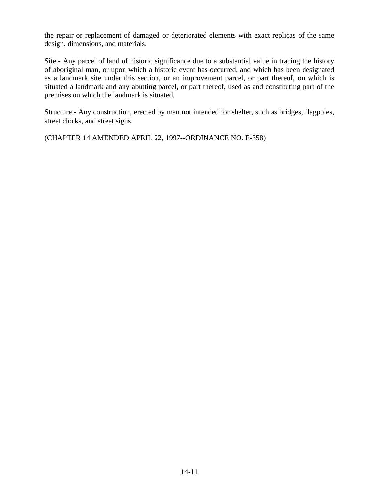the repair or replacement of damaged or deteriorated elements with exact replicas of the same design, dimensions, and materials.

Site - Any parcel of land of historic significance due to a substantial value in tracing the history of aboriginal man, or upon which a historic event has occurred, and which has been designated as a landmark site under this section, or an improvement parcel, or part thereof, on which is situated a landmark and any abutting parcel, or part thereof, used as and constituting part of the premises on which the landmark is situated.

Structure - Any construction, erected by man not intended for shelter, such as bridges, flagpoles, street clocks, and street signs.

(CHAPTER 14 AMENDED APRIL 22, 1997--ORDINANCE NO. E-358)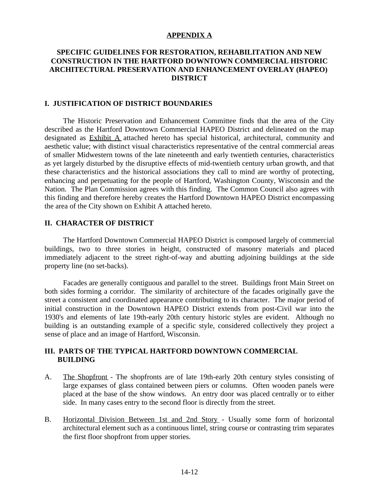### **APPENDIX A**

## **SPECIFIC GUIDELINES FOR RESTORATION, REHABILITATION AND NEW CONSTRUCTION IN THE HARTFORD DOWNTOWN COMMERCIAL HISTORIC ARCHITECTURAL PRESERVATION AND ENHANCEMENT OVERLAY (HAPEO) DISTRICT**

### **I. JUSTIFICATION OF DISTRICT BOUNDARIES**

The Historic Preservation and Enhancement Committee finds that the area of the City described as the Hartford Downtown Commercial HAPEO District and delineated on the map designated as Exhibit A attached hereto has special historical, architectural, community and aesthetic value; with distinct visual characteristics representative of the central commercial areas of smaller Midwestern towns of the late nineteenth and early twentieth centuries, characteristics as yet largely disturbed by the disruptive effects of mid-twentieth century urban growth, and that these characteristics and the historical associations they call to mind are worthy of protecting, enhancing and perpetuating for the people of Hartford, Washington County, Wisconsin and the Nation. The Plan Commission agrees with this finding. The Common Council also agrees with this finding and therefore hereby creates the Hartford Downtown HAPEO District encompassing the area of the City shown on Exhibit A attached hereto.

## **II. CHARACTER OF DISTRICT**

The Hartford Downtown Commercial HAPEO District is composed largely of commercial buildings, two to three stories in height, constructed of masonry materials and placed immediately adjacent to the street right-of-way and abutting adjoining buildings at the side property line (no set-backs).

Facades are generally contiguous and parallel to the street. Buildings front Main Street on both sides forming a corridor. The similarity of architecture of the facades originally gave the street a consistent and coordinated appearance contributing to its character. The major period of initial construction in the Downtown HAPEO District extends from post-Civil war into the 1930's and elements of late 19th-early 20th century historic styles are evident. Although no building is an outstanding example of a specific style, considered collectively they project a sense of place and an image of Hartford, Wisconsin.

# **III. PARTS OF THE TYPICAL HARTFORD DOWNTOWN COMMERCIAL BUILDING**

- A. The Shopfront The shopfronts are of late 19th-early 20th century styles consisting of large expanses of glass contained between piers or columns. Often wooden panels were placed at the base of the show windows. An entry door was placed centrally or to either side. In many cases entry to the second floor is directly from the street.
- B. Horizontal Division Between 1st and 2nd Story Usually some form of horizontal architectural element such as a continuous lintel, string course or contrasting trim separates the first floor shopfront from upper stories.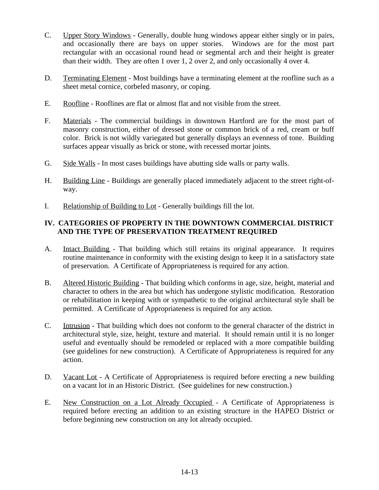- C. Upper Story Windows Generally, double hung windows appear either singly or in pairs, and occasionally there are bays on upper stories. Windows are for the most part rectangular with an occasional round head or segmental arch and their height is greater than their width. They are often 1 over 1, 2 over 2, and only occasionally 4 over 4.
- D. Terminating Element Most buildings have a terminating element at the roofline such as a sheet metal cornice, corbeled masonry, or coping.
- E. Roofline Rooflines are flat or almost flat and not visible from the street.
- F. Materials The commercial buildings in downtown Hartford are for the most part of masonry construction, either of dressed stone or common brick of a red, cream or buff color. Brick is not wildly variegated but generally displays an evenness of tone. Building surfaces appear visually as brick or stone, with recessed mortar joints.
- G. Side Walls In most cases buildings have abutting side walls or party walls.
- H. Building Line Buildings are generally placed immediately adjacent to the street right-ofway.
- I. Relationship of Building to Lot Generally buildings fill the lot.

# **IV. CATEGORIES OF PROPERTY IN THE DOWNTOWN COMMERCIAL DISTRICT AND THE TYPE OF PRESERVATION TREATMENT REQUIRED**

- A. Intact Building That building which still retains its original appearance. It requires routine maintenance in conformity with the existing design to keep it in a satisfactory state of preservation. A Certificate of Appropriateness is required for any action.
- B. Altered Historic Building That building which conforms in age, size, height, material and character to others in the area but which has undergone stylistic modification. Restoration or rehabilitation in keeping with or sympathetic to the original architectural style shall be permitted. A Certificate of Appropriateness is required for any action.
- C. Intrusion That building which does not conform to the general character of the district in architectural style, size, height, texture and material. It should remain until it is no longer useful and eventually should be remodeled or replaced with a more compatible building (see guidelines for new construction). A Certificate of Appropriateness is required for any action.
- D. Vacant Lot A Certificate of Appropriateness is required before erecting a new building on a vacant lot in an Historic District. (See guidelines for new construction.)
- E. New Construction on a Lot Already Occupied A Certificate of Appropriateness is required before erecting an addition to an existing structure in the HAPEO District or before beginning new construction on any lot already occupied.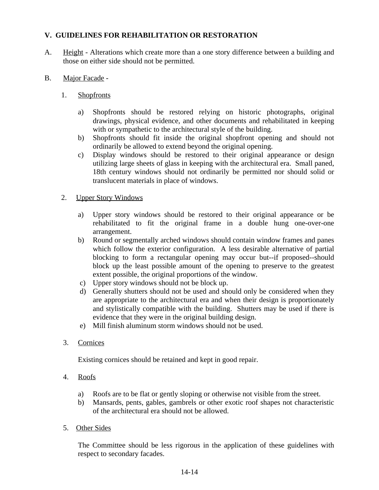# **V. GUIDELINES FOR REHABILITATION OR RESTORATION**

- A. Height Alterations which create more than a one story difference between a building and those on either side should not be permitted.
- B. Major Facade
	- 1. Shopfronts
		- a) Shopfronts should be restored relying on historic photographs, original drawings, physical evidence, and other documents and rehabilitated in keeping with or sympathetic to the architectural style of the building.
		- b) Shopfronts should fit inside the original shopfront opening and should not ordinarily be allowed to extend beyond the original opening.
		- c) Display windows should be restored to their original appearance or design utilizing large sheets of glass in keeping with the architectural era. Small paned, 18th century windows should not ordinarily be permitted nor should solid or translucent materials in place of windows.
	- 2. Upper Story Windows
		- a) Upper story windows should be restored to their original appearance or be rehabilitated to fit the original frame in a double hung one-over-one arrangement.
		- b) Round or segmentally arched windows should contain window frames and panes which follow the exterior configuration. A less desirable alternative of partial blocking to form a rectangular opening may occur but--if proposed--should block up the least possible amount of the opening to preserve to the greatest extent possible, the original proportions of the window.
		- c) Upper story windows should not be block up.
		- d) Generally shutters should not be used and should only be considered when they are appropriate to the architectural era and when their design is proportionately and stylistically compatible with the building. Shutters may be used if there is evidence that they were in the original building design.
		- e) Mill finish aluminum storm windows should not be used.
	- 3. Cornices

Existing cornices should be retained and kept in good repair.

- 4. Roofs
	- a) Roofs are to be flat or gently sloping or otherwise not visible from the street.
	- b) Mansards, pents, gables, gambrels or other exotic roof shapes not characteristic of the architectural era should not be allowed.
- 5. Other Sides

The Committee should be less rigorous in the application of these guidelines with respect to secondary facades.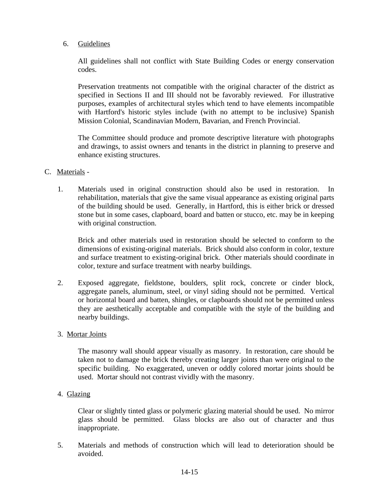## 6. Guidelines

All guidelines shall not conflict with State Building Codes or energy conservation codes.

Preservation treatments not compatible with the original character of the district as specified in Sections II and III should not be favorably reviewed. For illustrative purposes, examples of architectural styles which tend to have elements incompatible with Hartford's historic styles include (with no attempt to be inclusive) Spanish Mission Colonial, Scandinavian Modern, Bavarian, and French Provincial.

The Committee should produce and promote descriptive literature with photographs and drawings, to assist owners and tenants in the district in planning to preserve and enhance existing structures.

# C. Materials -

 1. Materials used in original construction should also be used in restoration. In rehabilitation, materials that give the same visual appearance as existing original parts of the building should be used. Generally, in Hartford, this is either brick or dressed stone but in some cases, clapboard, board and batten or stucco, etc. may be in keeping with original construction.

Brick and other materials used in restoration should be selected to conform to the dimensions of existing-original materials. Brick should also conform in color, texture and surface treatment to existing-original brick. Other materials should coordinate in color, texture and surface treatment with nearby buildings.

 2. Exposed aggregate, fieldstone, boulders, split rock, concrete or cinder block, aggregate panels, aluminum, steel, or vinyl siding should not be permitted. Vertical or horizontal board and batten, shingles, or clapboards should not be permitted unless they are aesthetically acceptable and compatible with the style of the building and nearby buildings.

## 3. Mortar Joints

The masonry wall should appear visually as masonry. In restoration, care should be taken not to damage the brick thereby creating larger joints than were original to the specific building. No exaggerated, uneven or oddly colored mortar joints should be used. Mortar should not contrast vividly with the masonry.

4. Glazing

Clear or slightly tinted glass or polymeric glazing material should be used. No mirror glass should be permitted. Glass blocks are also out of character and thus inappropriate.

 5. Materials and methods of construction which will lead to deterioration should be avoided.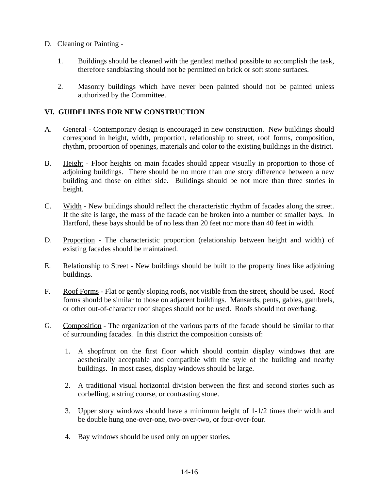- D. Cleaning or Painting
	- 1. Buildings should be cleaned with the gentlest method possible to accomplish the task, therefore sandblasting should not be permitted on brick or soft stone surfaces.
	- 2. Masonry buildings which have never been painted should not be painted unless authorized by the Committee.

# **VI. GUIDELINES FOR NEW CONSTRUCTION**

- A. General Contemporary design is encouraged in new construction. New buildings should correspond in height, width, proportion, relationship to street, roof forms, composition, rhythm, proportion of openings, materials and color to the existing buildings in the district.
- B. Height Floor heights on main facades should appear visually in proportion to those of adjoining buildings. There should be no more than one story difference between a new building and those on either side. Buildings should be not more than three stories in height.
- C. Width New buildings should reflect the characteristic rhythm of facades along the street. If the site is large, the mass of the facade can be broken into a number of smaller bays. In Hartford, these bays should be of no less than 20 feet nor more than 40 feet in width.
- D. Proportion The characteristic proportion (relationship between height and width) of existing facades should be maintained.
- E. Relationship to Street New buildings should be built to the property lines like adjoining buildings.
- F. Roof Forms Flat or gently sloping roofs, not visible from the street, should be used. Roof forms should be similar to those on adjacent buildings. Mansards, pents, gables, gambrels, or other out-of-character roof shapes should not be used. Roofs should not overhang.
- G. Composition The organization of the various parts of the facade should be similar to that of surrounding facades. In this district the composition consists of:
	- 1. A shopfront on the first floor which should contain display windows that are aesthetically acceptable and compatible with the style of the building and nearby buildings. In most cases, display windows should be large.
	- 2. A traditional visual horizontal division between the first and second stories such as corbelling, a string course, or contrasting stone.
	- 3. Upper story windows should have a minimum height of 1-1/2 times their width and be double hung one-over-one, two-over-two, or four-over-four.
	- 4. Bay windows should be used only on upper stories.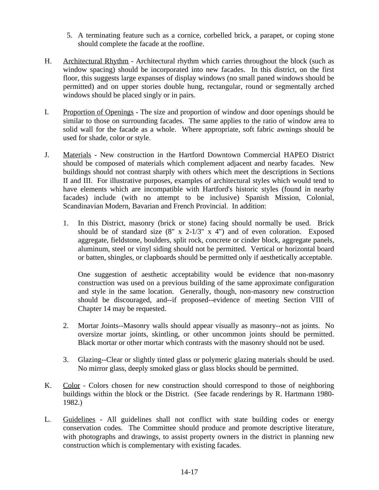- 5. A terminating feature such as a cornice, corbelled brick, a parapet, or coping stone should complete the facade at the roofline.
- H. Architectural Rhythm Architectural rhythm which carries throughout the block (such as window spacing) should be incorporated into new facades. In this district, on the first floor, this suggests large expanses of display windows (no small paned windows should be permitted) and on upper stories double hung, rectangular, round or segmentally arched windows should be placed singly or in pairs.
- I. Proportion of Openings The size and proportion of window and door openings should be similar to those on surrounding facades. The same applies to the ratio of window area to solid wall for the facade as a whole. Where appropriate, soft fabric awnings should be used for shade, color or style.
- J. Materials New construction in the Hartford Downtown Commercial HAPEO District should be composed of materials which complement adjacent and nearby facades. New buildings should not contrast sharply with others which meet the descriptions in Sections II and III. For illustrative purposes, examples of architectural styles which would tend to have elements which are incompatible with Hartford's historic styles (found in nearby facades) include (with no attempt to be inclusive) Spanish Mission, Colonial, Scandinavian Modern, Bavarian and French Provincial. In addition:
	- 1. In this District, masonry (brick or stone) facing should normally be used. Brick should be of standard size  $(8'' \times 2-1/3'' \times 4'')$  and of even coloration. Exposed aggregate, fieldstone, boulders, split rock, concrete or cinder block, aggregate panels, aluminum, steel or vinyl siding should not be permitted. Vertical or horizontal board or batten, shingles, or clapboards should be permitted only if aesthetically acceptable.

One suggestion of aesthetic acceptability would be evidence that non-masonry construction was used on a previous building of the same approximate configuration and style in the same location. Generally, though, non-masonry new construction should be discouraged, and--if proposed--evidence of meeting Section VIII of Chapter 14 may be requested.

- 2. Mortar Joints--Masonry walls should appear visually as masonry--not as joints. No oversize mortar joints, skintling, or other uncommon joints should be permitted. Black mortar or other mortar which contrasts with the masonry should not be used.
- 3. Glazing--Clear or slightly tinted glass or polymeric glazing materials should be used. No mirror glass, deeply smoked glass or glass blocks should be permitted.
- K. Color Colors chosen for new construction should correspond to those of neighboring buildings within the block or the District. (See facade renderings by R. Hartmann 1980- 1982.)
- L. Guidelines All guidelines shall not conflict with state building codes or energy conservation codes. The Committee should produce and promote descriptive literature, with photographs and drawings, to assist property owners in the district in planning new construction which is complementary with existing facades.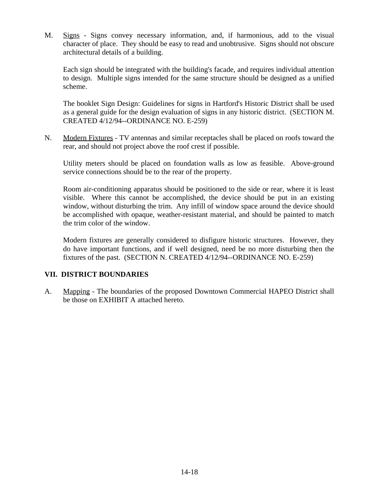M. Signs - Signs convey necessary information, and, if harmonious, add to the visual character of place. They should be easy to read and unobtrusive. Signs should not obscure architectural details of a building.

Each sign should be integrated with the building's facade, and requires individual attention to design. Multiple signs intended for the same structure should be designed as a unified scheme.

The booklet Sign Design: Guidelines for signs in Hartford's Historic District shall be used as a general guide for the design evaluation of signs in any historic district. (SECTION M. CREATED 4/12/94--ORDINANCE NO. E-259)

N. Modern Fixtures - TV antennas and similar receptacles shall be placed on roofs toward the rear, and should not project above the roof crest if possible.

Utility meters should be placed on foundation walls as low as feasible. Above-ground service connections should be to the rear of the property.

Room air-conditioning apparatus should be positioned to the side or rear, where it is least visible. Where this cannot be accomplished, the device should be put in an existing window, without disturbing the trim. Any infill of window space around the device should be accomplished with opaque, weather-resistant material, and should be painted to match the trim color of the window.

Modern fixtures are generally considered to disfigure historic structures. However, they do have important functions, and if well designed, need be no more disturbing then the fixtures of the past. (SECTION N. CREATED 4/12/94--ORDINANCE NO. E-259)

# **VII. DISTRICT BOUNDARIES**

A. Mapping - The boundaries of the proposed Downtown Commercial HAPEO District shall be those on EXHIBIT A attached hereto.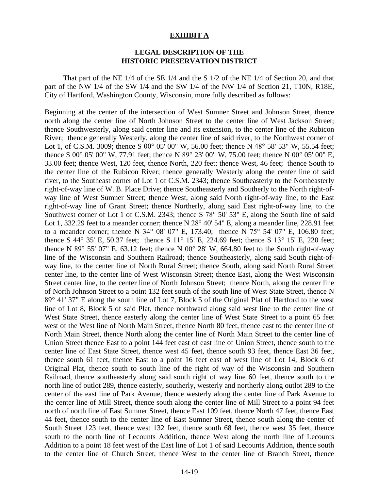### **EXHIBIT A**

## **LEGAL DESCRIPTION OF THE HISTORIC PRESERVATION DISTRICT**

That part of the NE 1/4 of the SE 1/4 and the S 1/2 of the NE 1/4 of Section 20, and that part of the NW 1/4 of the SW 1/4 and the SW 1/4 of the NW 1/4 of Section 21, T10N, R18E, City of Hartford, Washington County, Wisconsin, more fully described as follows:

Beginning at the center of the intersection of West Sumner Street and Johnson Street, thence north along the center line of North Johnson Street to the center line of West Jackson Street; thence Southwesterly, along said center line and its extension, to the center line of the Rubicon River; thence generally Westerly, along the center line of said river, to the Northwest corner of Lot 1, of C.S.M. 3009; thence S 00° 05' 00" W, 56.00 feet; thence N 48° 58' 53" W, 55.54 feet; thence S 00° 05' 00" W, 77.91 feet; thence N 89° 23' 00" W, 75.00 feet; thence N 00° 05' 00" E, 33.00 feet; thence West, 120 feet, thence North, 220 feet; thence West, 46 feet; thence South to the center line of the Rubicon River; thence generally Westerly along the center line of said river, to the Southeast corner of Lot 1 of C.S.M. 2343; thence Southeasterly to the Northeasterly right-of-way line of W. B. Place Drive; thence Southeasterly and Southerly to the North right-ofway line of West Sumner Street; thence West, along said North right-of-way line, to the East right-of-way line of Grant Street; thence Northerly, along said East right-of-way line, to the Southwest corner of Lot 1 of C.S.M. 2343; thence S 78° 50' 53" E, along the South line of said Lot 1, 332.29 feet to a meander corner; thence N 28° 40' 54" E, along a meander line, 228.91 feet to a meander corner; thence N 34° 08' 07" E, 173.40; thence N 75° 54' 07" E, 106.80 feet; thence S 44° 35' E, 50.37 feet; thence S 11° 15' E, 224.69 feet; thence S 13° 15' E, 220 feet; thence N 89 $\degree$  55' 07" E, 63.12 feet; thence N 00 $\degree$  28' W, 664.80 feet to the South right-of-way line of the Wisconsin and Southern Railroad; thence Southeasterly, along said South right-ofway line, to the center line of North Rural Street; thence South, along said North Rural Street center line, to the center line of West Wisconsin Street; thence East, along the West Wisconsin Street center line, to the center line of North Johnson Street; thence North, along the center line of North Johnson Street to a point 132 feet south of the south line of West State Street, thence N 89° 41' 37" E along the south line of Lot 7, Block 5 of the Original Plat of Hartford to the west line of Lot 8, Block 5 of said Plat, thence northward along said west line to the center line of West State Street, thence easterly along the center line of West State Street to a point 65 feet west of the West line of North Main Street, thence North 80 feet, thence east to the center line of North Main Street, thence North along the center line of North Main Street to the center line of Union Street thence East to a point 144 feet east of east line of Union Street, thence south to the center line of East State Street, thence west 45 feet, thence south 93 feet, thence East 36 feet, thence south 61 feet, thence East to a point 16 feet east of west line of Lot 14, Block 6 of Original Plat, thence south to south line of the right of way of the Wisconsin and Southern Railroad, thence southeasterly along said south right of way line 60 feet, thence south to the north line of outlot 289, thence easterly, southerly, westerly and northerly along outlot 289 to the center of the east line of Park Avenue, thence westerly along the center line of Park Avenue to the center line of Mill Street, thence south along the center line of Mill Street to a point 94 feet north of north line of East Sumner Street, thence East 109 feet, thence North 47 feet, thence East 44 feet, thence south to the center line of East Sumner Street, thence south along the center of South Street 123 feet, thence west 132 feet, thence south 68 feet, thence west 35 feet, thence south to the north line of Lecounts Addition, thence West along the north line of Lecounts Addition to a point 18 feet west of the East line of Lot 1 of said Lecounts Addition, thence south to the center line of Church Street, thence West to the center line of Branch Street, thence